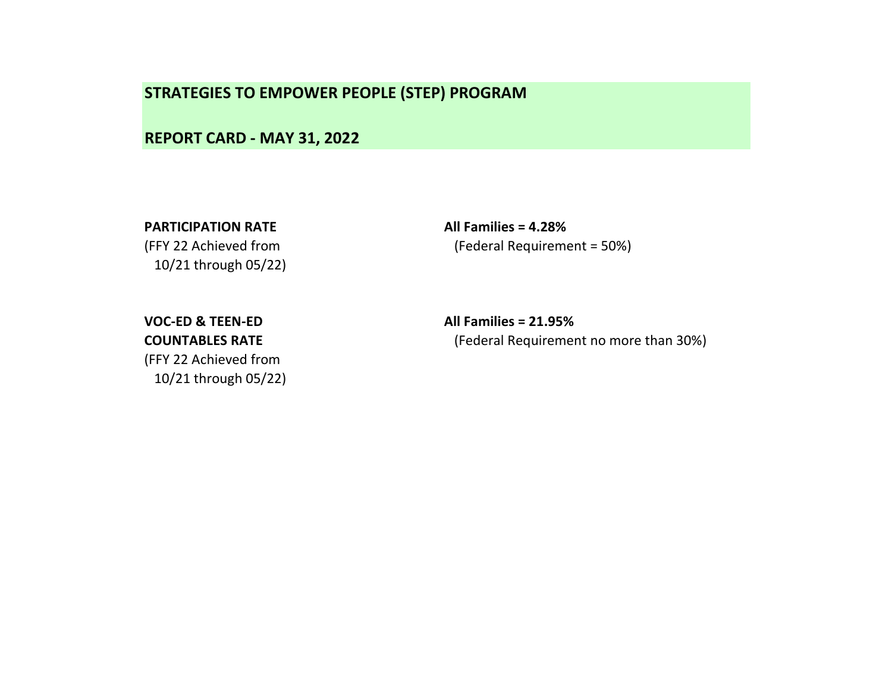REPORT CARD - MAY 31, 2022

10/21 through 05/22)

PARTICIPATION RATE All Families = 4.28% (FFY 22 Achieved from (Federal Requirement = 50%)

(FFY 22 Achieved from 10/21 through 05/22)

VOC-ED & TEEN-ED All Families = 21.95% COUNTABLES RATE (Federal Requirement no more than 30%)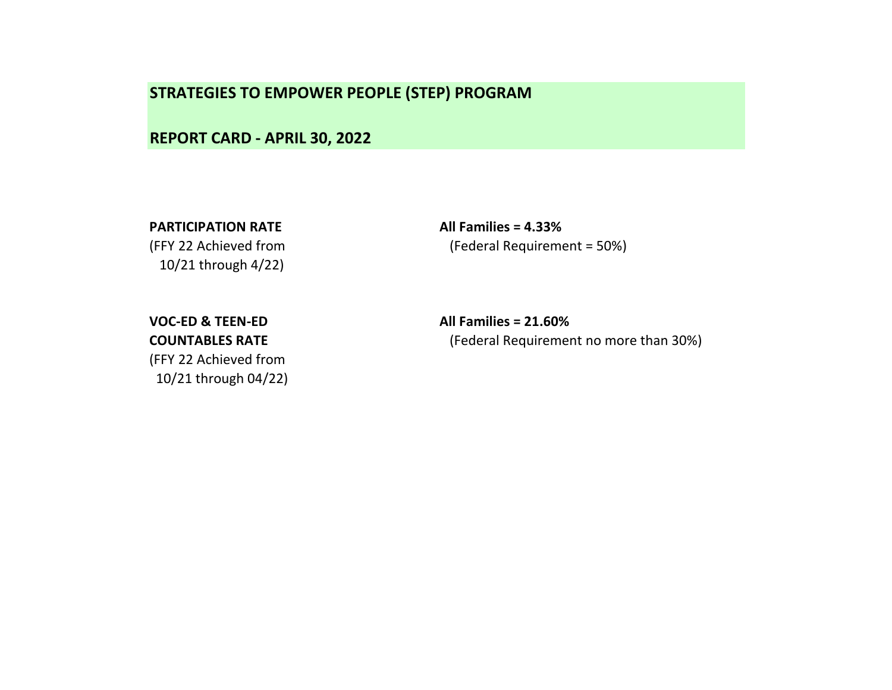REPORT CARD - APRIL 30, 2022

PARTICIPATION RATE All Families = 4.33%

10/21 through 4/22)

(FFY 22 Achieved from (Federal Requirement = 50%)

(FFY 22 Achieved from

10/21 through 04/22)

VOC-ED & TEEN-ED All Families = 21.60% COUNTABLES RATE (Federal Requirement no more than 30%)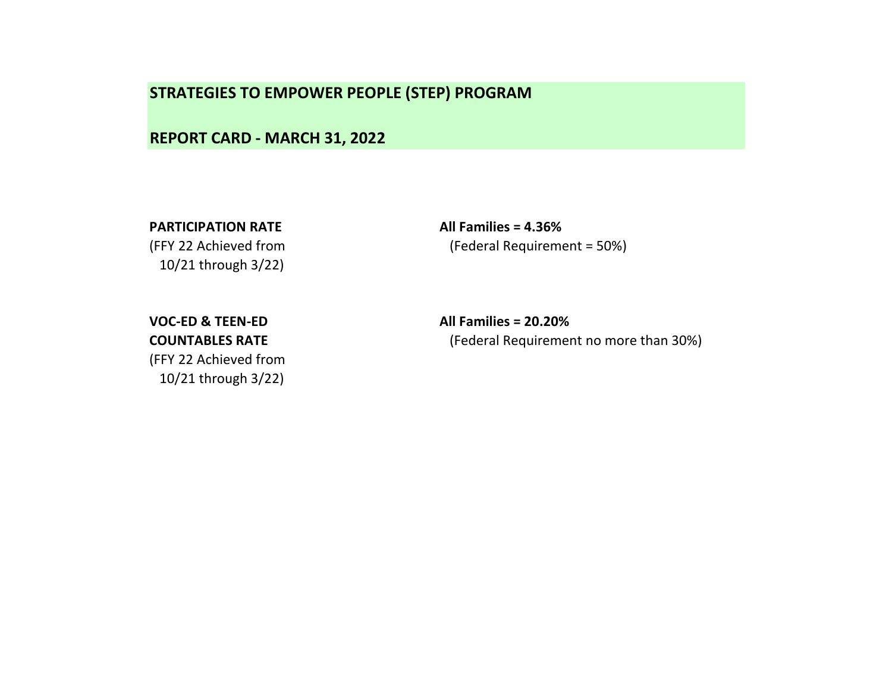REPORT CARD - MARCH 31, 2022

10/21 through 3/22)

PARTICIPATION RATE All Families = 4.36% (FFY 22 Achieved from (Federal Requirement = 50%)

(FFY 22 Achieved from 10/21 through 3/22)

VOC-ED & TEEN-ED All Families = 20.20% COUNTABLES RATE (Federal Requirement no more than 30%)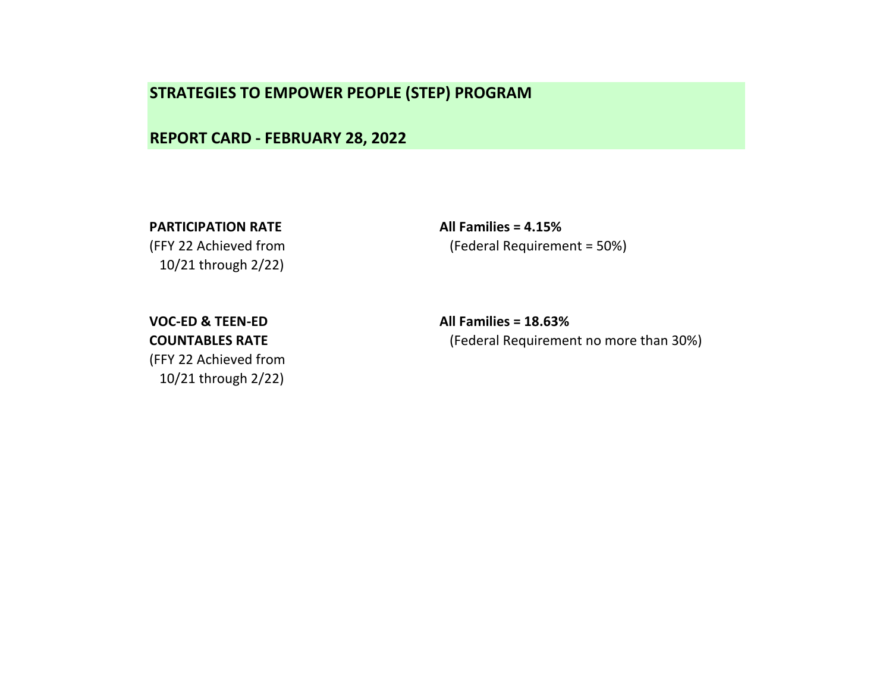REPORT CARD - FEBRUARY 28, 2022

10/21 through 2/22)

PARTICIPATION RATE All Families = 4.15% (FFY 22 Achieved from (Federal Requirement = 50%)

(FFY 22 Achieved from 10/21 through 2/22)

VOC-ED & TEEN-ED All Families = 18.63% COUNTABLES RATE (Federal Requirement no more than 30%)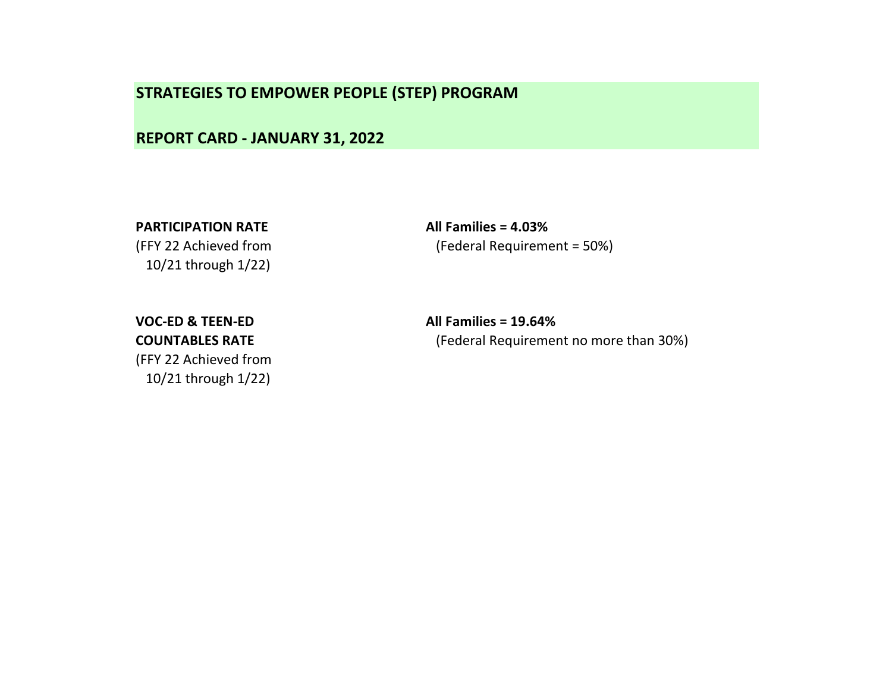REPORT CARD - JANUARY 31, 2022

10/21 through 1/22)

PARTICIPATION RATE All Families = 4.03% (FFY 22 Achieved from (Federal Requirement = 50%)

VOC-ED & TEEN-ED All Families = 19.64% (FFY 22 Achieved from 10/21 through 1/22)

COUNTABLES RATE (Federal Requirement no more than 30%)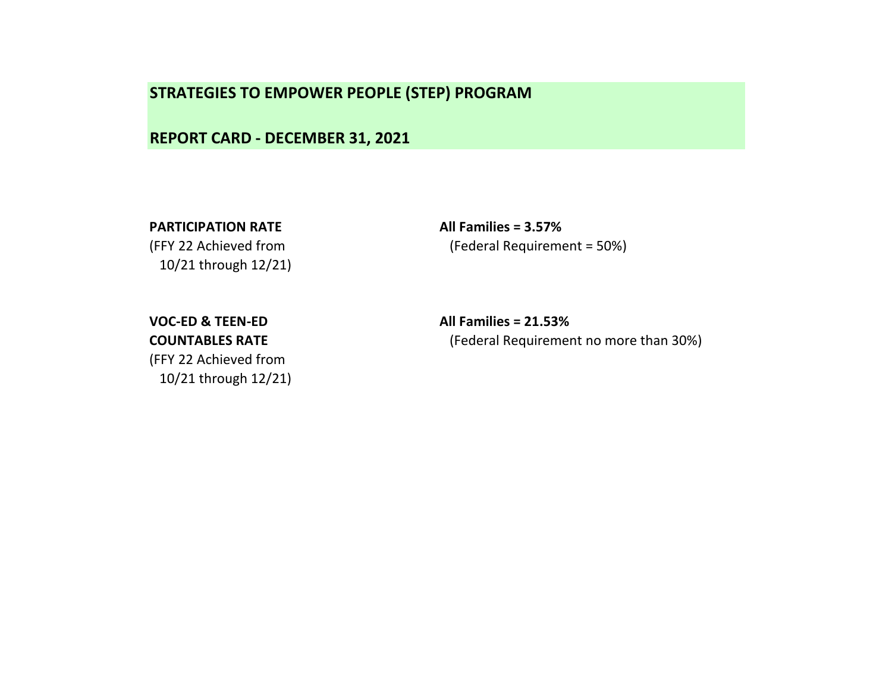REPORT CARD - DECEMBER 31, 2021

10/21 through 12/21)

PARTICIPATION RATE All Families = 3.57% (FFY 22 Achieved from (Federal Requirement = 50%)

(FFY 22 Achieved from

10/21 through 12/21)

VOC-ED & TEEN-ED All Families = 21.53% COUNTABLES RATE (Federal Requirement no more than 30%)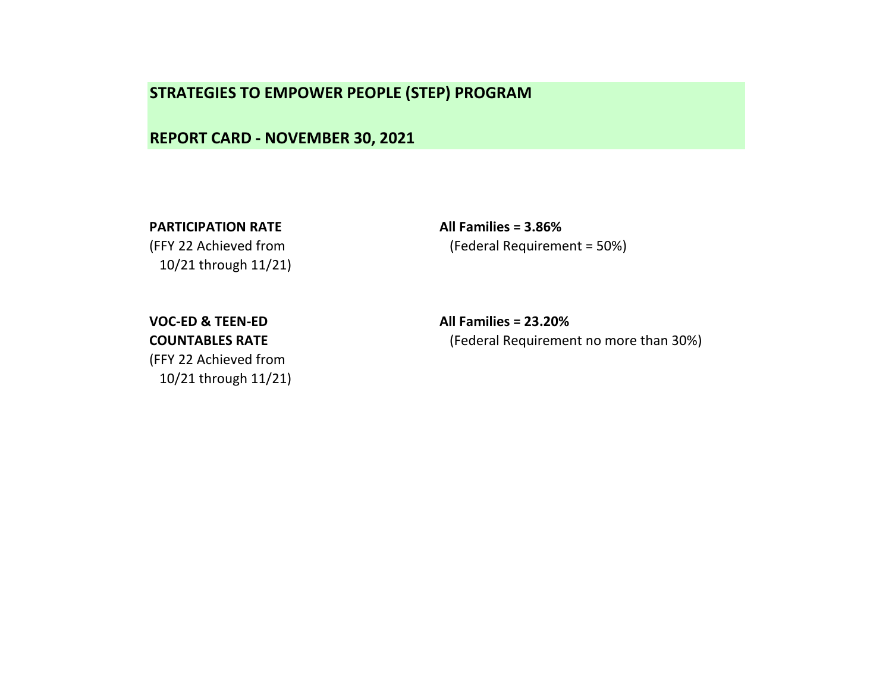REPORT CARD - NOVEMBER 30, 2021

10/21 through 11/21)

PARTICIPATION RATE All Families = 3.86% (FFY 22 Achieved from (Federal Requirement = 50%)

(FFY 22 Achieved from

10/21 through 11/21)

VOC-ED & TEEN-ED All Families = 23.20% COUNTABLES RATE (Federal Requirement no more than 30%)